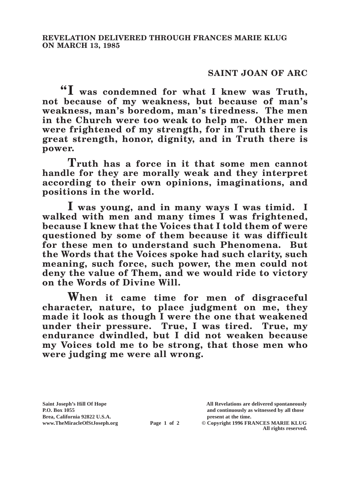## **SAINT JOAN OF ARC**

**"I was condemned for what I knew was Truth, not because of my weakness, but because of man's weakness, man's boredom, man's tiredness. The men in the Church were too weak to help me. Other men were frightened of my strength, for in Truth there is great strength, honor, dignity, and in Truth there is power.**

**Truth has a force in it that some men cannot handle for they are morally weak and they interpret according to their own opinions, imaginations, and positions in the world.**

**I was young, and in many ways I was timid. I walked with men and many times I was frightened, because I knew that the Voices that I told them of were questioned by some of them because it was difficult for these men to understand such Phenomena. But the Words that the Voices spoke had such clarity, such meaning, such force, such power, the men could not deny the value of Them, and we would ride to victory on the Words of Divine Will.**

**When it came time for men of disgraceful character, nature, to place judgment on me, they made it look as though I were the one that weakened under their pressure. True, I was tired. True, my endurance dwindled, but I did not weaken because my Voices told me to be strong, that those men who were judging me were all wrong.**

**Saint Joseph's Hill Of Hope All Revelations are delivered spontaneously P.O. Box 1055 and continuously as witnessed by all those** 

**Page 1 of 2** © Copyright 1996 FRANCES MARIE KLUG **All rights reserved.**